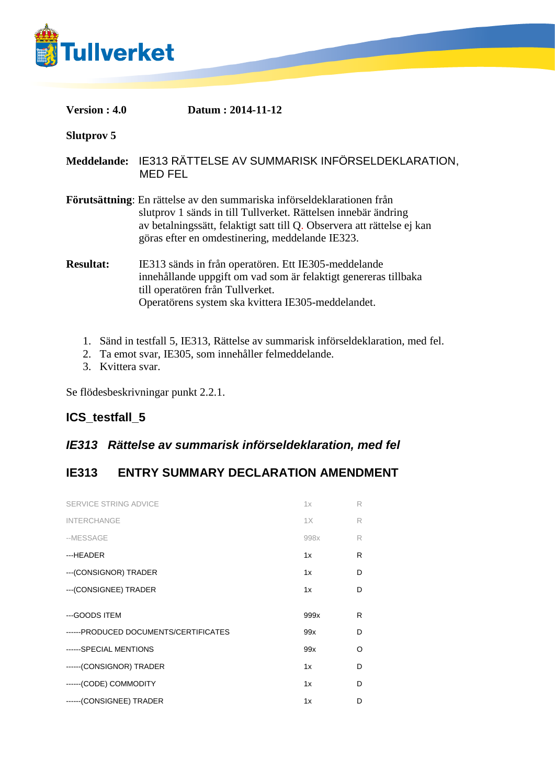

**Slutprov 5**

**Meddelande:** IE313 RÄTTELSE AV SUMMARISK INFÖRSELDEKLARATION, MED FEL

**Förutsättning**: En rättelse av den summariska införseldeklarationen från slutprov 1 sänds in till Tullverket. Rättelsen innebär ändring av betalningssätt, felaktigt satt till Q. Observera att rättelse ej kan göras efter en omdestinering, meddelande IE323.

**Resultat:** IE313 sänds in från operatören. Ett IE305-meddelande innehållande uppgift om vad som är felaktigt genereras tillbaka till operatören från Tullverket. Operatörens system ska kvittera IE305-meddelandet.

- 1. Sänd in testfall 5, IE313, Rättelse av summarisk införseldeklaration, med fel.
- 2. Ta emot svar, IE305, som innehåller felmeddelande.
- 3. Kvittera svar.

Se flödesbeskrivningar punkt 2.2.1.

## **ICS\_testfall\_5**

## *IE313 Rättelse av summarisk införseldeklaration, med fel*

## **IE313 ENTRY SUMMARY DECLARATION AMENDMENT**

| 1x   | R |
|------|---|
| 1X   | R |
| 998x | R |
| 1x   | R |
| 1x   | D |
| 1x   | D |
|      |   |
| 999x | R |
| 99x  | D |
| 99x  | O |
| 1x   | D |
| 1x   | D |
|      |   |
|      |   |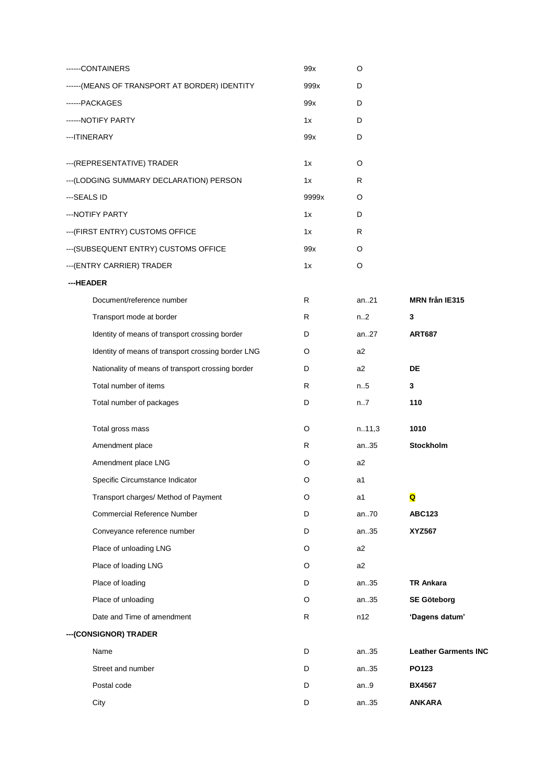| -----CONTAINERS                                    | 99x   | O              |                             |
|----------------------------------------------------|-------|----------------|-----------------------------|
| -----(MEANS OF TRANSPORT AT BORDER) IDENTITY       | 999x  | D              |                             |
| ------PACKAGES                                     | 99x   | D              |                             |
| ------NOTIFY PARTY                                 | 1x    | D              |                             |
| --- ITINERARY                                      | 99x   | D              |                             |
| --- (REPRESENTATIVE) TRADER                        | 1x    | O              |                             |
| --- (LODGING SUMMARY DECLARATION) PERSON           | 1x    | R              |                             |
| ---SEALS ID                                        | 9999x | O              |                             |
| ---NOTIFY PARTY                                    | 1x    | D              |                             |
| --- (FIRST ENTRY) CUSTOMS OFFICE                   | 1x    | R              |                             |
| --- (SUBSEQUENT ENTRY) CUSTOMS OFFICE              | 99x   | O              |                             |
| --- (ENTRY CARRIER) TRADER                         | 1x    | O              |                             |
| ---HEADER                                          |       |                |                             |
| Document/reference number                          | R     | an.21          | MRN från IE315              |
| Transport mode at border                           | R     | n2             | 3                           |
| Identity of means of transport crossing border     | D     | an27           | <b>ART687</b>               |
| Identity of means of transport crossing border LNG | O     | a2             |                             |
| Nationality of means of transport crossing border  | D     | a2             | DE                          |
| Total number of items                              | R     | n.5            | 3                           |
| Total number of packages                           | D     | n7             | 110                         |
| Total gross mass                                   | O     | n.11,3         | 1010                        |
| Amendment place                                    | R     | an35           | <b>Stockholm</b>            |
| Amendment place LNG                                | O     | a2             |                             |
| Specific Circumstance Indicator                    | O     | a1             |                             |
| Transport charges/ Method of Payment               | O     | a1             | Q                           |
| <b>Commercial Reference Number</b>                 | D     | an70           | <b>ABC123</b>               |
| Conveyance reference number                        | D     | an35           | <b>XYZ567</b>               |
| Place of unloading LNG                             | O     | a <sub>2</sub> |                             |
| Place of loading LNG                               | O     | a2             |                             |
| Place of loading                                   | D     | an35           | TR Ankara                   |
| Place of unloading                                 | O     | an35           | <b>SE Göteborg</b>          |
| Date and Time of amendment                         | R     | n12            | 'Dagens datum'              |
| --- (CONSIGNOR) TRADER                             |       |                |                             |
| Name                                               | D     | an35           | <b>Leather Garments INC</b> |
| Street and number                                  | D     | an35           | PO123                       |
| Postal code                                        | D     | an.9           | <b>BX4567</b>               |
| City                                               | D     | an35           | <b>ANKARA</b>               |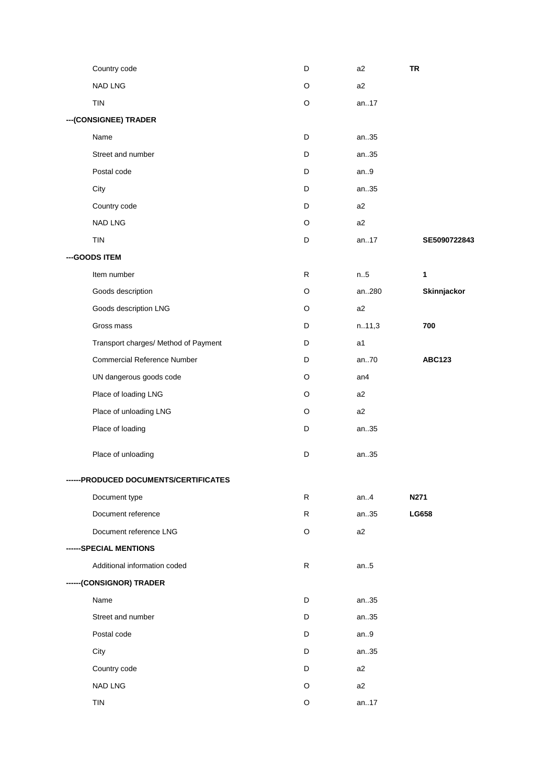|                        | Country code                          | D | a <sub>2</sub> | <b>TR</b>     |  |  |  |
|------------------------|---------------------------------------|---|----------------|---------------|--|--|--|
|                        | <b>NAD LNG</b>                        | O | a <sub>2</sub> |               |  |  |  |
|                        | <b>TIN</b>                            | O | an17           |               |  |  |  |
| --- (CONSIGNEE) TRADER |                                       |   |                |               |  |  |  |
|                        | Name                                  | D | an35           |               |  |  |  |
|                        | Street and number                     | D | an35           |               |  |  |  |
|                        | Postal code                           | D | an.9           |               |  |  |  |
|                        | City                                  | D | an35           |               |  |  |  |
|                        | Country code                          | D | a <sub>2</sub> |               |  |  |  |
|                        | <b>NAD LNG</b>                        | O | a <sub>2</sub> |               |  |  |  |
|                        | <b>TIN</b>                            | D | an17           | SE5090722843  |  |  |  |
|                        | --- GOODS ITEM                        |   |                |               |  |  |  |
|                        | Item number                           | R | n.5            | 1             |  |  |  |
|                        | Goods description                     | O | an280          | Skinnjackor   |  |  |  |
|                        | Goods description LNG                 | O | a2             |               |  |  |  |
|                        | Gross mass                            | D | n.11,3         | 700           |  |  |  |
|                        | Transport charges/ Method of Payment  | D | a1             |               |  |  |  |
|                        | <b>Commercial Reference Number</b>    | D | an70           | <b>ABC123</b> |  |  |  |
|                        | UN dangerous goods code               | O | an4            |               |  |  |  |
|                        | Place of loading LNG                  | O | a <sub>2</sub> |               |  |  |  |
|                        | Place of unloading LNG                | O | a2             |               |  |  |  |
|                        | Place of loading                      | D | an35           |               |  |  |  |
|                        | Place of unloading                    | D | an35           |               |  |  |  |
|                        | ------PRODUCED DOCUMENTS/CERTIFICATES |   |                |               |  |  |  |
|                        | Document type                         | R | an.4           | N271          |  |  |  |
|                        | Document reference                    | R | an35           | LG658         |  |  |  |
|                        | Document reference LNG                | O | a <sub>2</sub> |               |  |  |  |
|                        | ------SPECIAL MENTIONS                |   |                |               |  |  |  |
|                        | Additional information coded          | R | an.5           |               |  |  |  |
|                        | ------(CONSIGNOR) TRADER              |   |                |               |  |  |  |
|                        | Name                                  | D | an35           |               |  |  |  |
|                        | Street and number                     | D | an35           |               |  |  |  |
|                        | Postal code                           | D | an.9           |               |  |  |  |
|                        | City                                  | D | an35           |               |  |  |  |
|                        | Country code                          | D | a2             |               |  |  |  |
|                        | <b>NAD LNG</b>                        | O | a <sub>2</sub> |               |  |  |  |
|                        | TIN                                   | O | an17           |               |  |  |  |
|                        |                                       |   |                |               |  |  |  |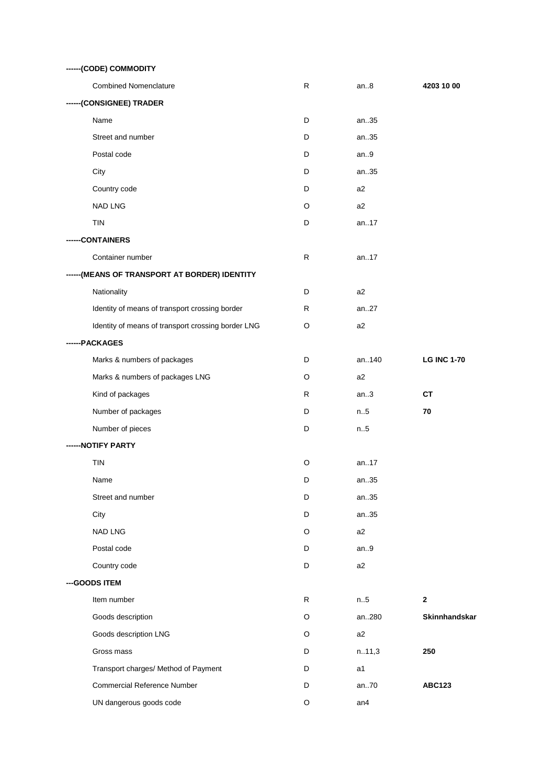| ------(CODE) COMMODITY                             |   |                |                    |  |  |
|----------------------------------------------------|---|----------------|--------------------|--|--|
| <b>Combined Nomenclature</b>                       | R | an8            | 4203 10 00         |  |  |
| ------(CONSIGNEE) TRADER                           |   |                |                    |  |  |
| Name                                               | D | an35           |                    |  |  |
| Street and number                                  | D | an35           |                    |  |  |
| Postal code                                        | D | an.9           |                    |  |  |
| City                                               | D | an35           |                    |  |  |
| Country code                                       | D | a2             |                    |  |  |
| <b>NAD LNG</b>                                     | O | a2             |                    |  |  |
| <b>TIN</b>                                         | D | an17           |                    |  |  |
| -CONTAINERS                                        |   |                |                    |  |  |
| Container number                                   | R | an17           |                    |  |  |
| ------(MEANS OF TRANSPORT AT BORDER) IDENTITY      |   |                |                    |  |  |
| Nationality                                        | D | a2             |                    |  |  |
| Identity of means of transport crossing border     | R | an27           |                    |  |  |
| Identity of means of transport crossing border LNG | O | a2             |                    |  |  |
| ---PACKAGES                                        |   |                |                    |  |  |
| Marks & numbers of packages                        | D | an140          | <b>LG INC 1-70</b> |  |  |
| Marks & numbers of packages LNG                    | O | a2             |                    |  |  |
| Kind of packages                                   | R | an.3           | <b>CT</b>          |  |  |
| Number of packages                                 | D | n.5            | 70                 |  |  |
| Number of pieces                                   | D | n.5            |                    |  |  |
| -- NOTIFY PARTY                                    |   |                |                    |  |  |
| <b>TIN</b>                                         | O | an17           |                    |  |  |
| Name                                               | D | an35           |                    |  |  |
| Street and number                                  | D | an35           |                    |  |  |
| City                                               | D | an35           |                    |  |  |
| NAD LNG                                            | O | a2             |                    |  |  |
| Postal code                                        | D | an.9           |                    |  |  |
| Country code                                       | D | a2             |                    |  |  |
| --- GOODS ITEM                                     |   |                |                    |  |  |
| Item number                                        | R | n.5            | $\mathbf{2}$       |  |  |
| Goods description                                  | O | an280          | Skinnhandskar      |  |  |
| Goods description LNG                              | O | a2             |                    |  |  |
| Gross mass                                         | D | n.11,3         | 250                |  |  |
| Transport charges/ Method of Payment               | D | a <sub>1</sub> |                    |  |  |
| Commercial Reference Number                        | D | an70           | <b>ABC123</b>      |  |  |
| UN dangerous goods code                            | O | an4            |                    |  |  |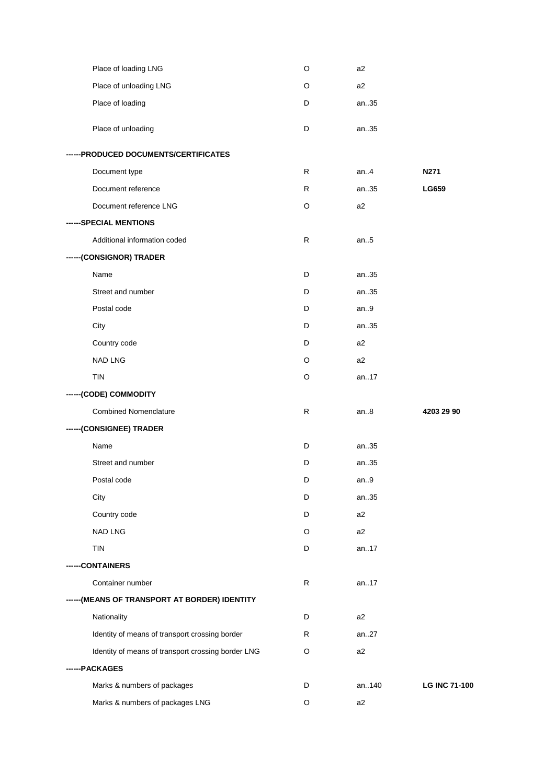| Place of loading LNG                               |    |       |                      |
|----------------------------------------------------|----|-------|----------------------|
|                                                    | O  | a2    |                      |
| Place of unloading LNG                             | O  | a2    |                      |
| Place of loading                                   | D  | an35  |                      |
| Place of unloading                                 | D  | an35  |                      |
| ------PRODUCED DOCUMENTS/CERTIFICATES              |    |       |                      |
| Document type                                      | R. | an.4  | N271                 |
| Document reference                                 | R  | an35  | LG659                |
| Document reference LNG                             | O  | a2    |                      |
| ------SPECIAL MENTIONS                             |    |       |                      |
| Additional information coded                       | R  | an.5  |                      |
| ------(CONSIGNOR) TRADER                           |    |       |                      |
| Name                                               | D  | an35  |                      |
| Street and number                                  | D  | an35  |                      |
| Postal code                                        | D  | an.9  |                      |
| City                                               | D  | an35  |                      |
| Country code                                       | D  | a2    |                      |
| <b>NAD LNG</b>                                     | O  | a2    |                      |
| <b>TIN</b>                                         | O  | an17  |                      |
| ------(CODE) COMMODITY                             |    |       |                      |
|                                                    |    |       |                      |
| <b>Combined Nomenclature</b>                       | R  | an.8  | 4203 29 90           |
| ------(CONSIGNEE) TRADER                           |    |       |                      |
| Name                                               | D  | an35  |                      |
| Street and number                                  | D  | an35  |                      |
| Postal code                                        | D  | an.9  |                      |
| City                                               | D  | an35  |                      |
| Country code                                       | D  | a2    |                      |
| <b>NAD LNG</b>                                     | O  | a2    |                      |
| TIN                                                | D  | an17  |                      |
| -CONTAINERS                                        |    |       |                      |
| Container number                                   | R  | an17  |                      |
| ------(MEANS OF TRANSPORT AT BORDER) IDENTITY      |    |       |                      |
| Nationality                                        | D  | a2    |                      |
| Identity of means of transport crossing border     | R  | an27  |                      |
| Identity of means of transport crossing border LNG | O  | a2    |                      |
| ------PACKAGES                                     |    |       |                      |
| Marks & numbers of packages                        | D  | an140 | <b>LG INC 71-100</b> |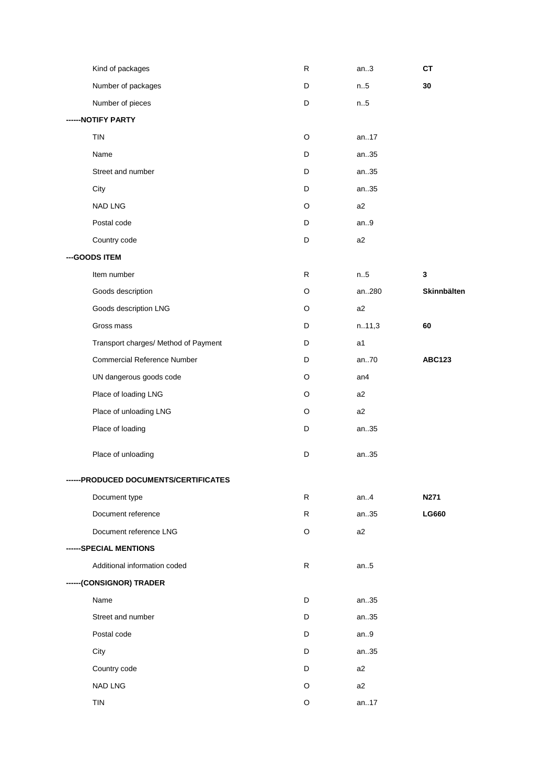| Kind of packages                      | R            | an.3           | CT            |
|---------------------------------------|--------------|----------------|---------------|
| Number of packages                    | D            | n.5            | 30            |
| Number of pieces                      | D            | n.5            |               |
| --- NOTIFY PARTY                      |              |                |               |
| TIN                                   | $\circ$      | an17           |               |
| Name                                  | D            | an35           |               |
| Street and number                     | D            | an35           |               |
| City                                  | D            | an35           |               |
| NAD LNG                               | $\circ$      | a2             |               |
| Postal code                           | D            | an.9           |               |
| Country code                          | D            | a2             |               |
| --- GOODS ITEM                        |              |                |               |
| Item number                           | R            | n.5            | 3             |
| Goods description                     | O            | an280          | Skinnbälten   |
| Goods description LNG                 | O            | a2             |               |
| Gross mass                            | D            | n.11,3         | 60            |
| Transport charges/ Method of Payment  | D            | a1             |               |
| <b>Commercial Reference Number</b>    | D            | an70           | <b>ABC123</b> |
| UN dangerous goods code               | $\circ$      | an4            |               |
| Place of loading LNG                  | O            | a <sub>2</sub> |               |
| Place of unloading LNG                | O            | a2             |               |
| Place of loading                      | D            | an35           |               |
| Place of unloading                    | D            | an35           |               |
| ------PRODUCED DOCUMENTS/CERTIFICATES |              |                |               |
| Document type                         | R            | an.4           | N271          |
| Document reference                    | ${\sf R}$    | an35           | <b>LG660</b>  |
| Document reference LNG                | O            | a2             |               |
| ------SPECIAL MENTIONS                |              |                |               |
| Additional information coded          | $\mathsf{R}$ | an.5           |               |
| ------(CONSIGNOR) TRADER              |              |                |               |
| Name                                  | D            | an35           |               |
| Street and number                     | D            | an35           |               |
| Postal code                           | D            | an.9           |               |
| City                                  | D            | an35           |               |
| Country code                          | D            | a2             |               |
| NAD LNG                               | O            | a2             |               |
| <b>TIN</b>                            | O            | an17           |               |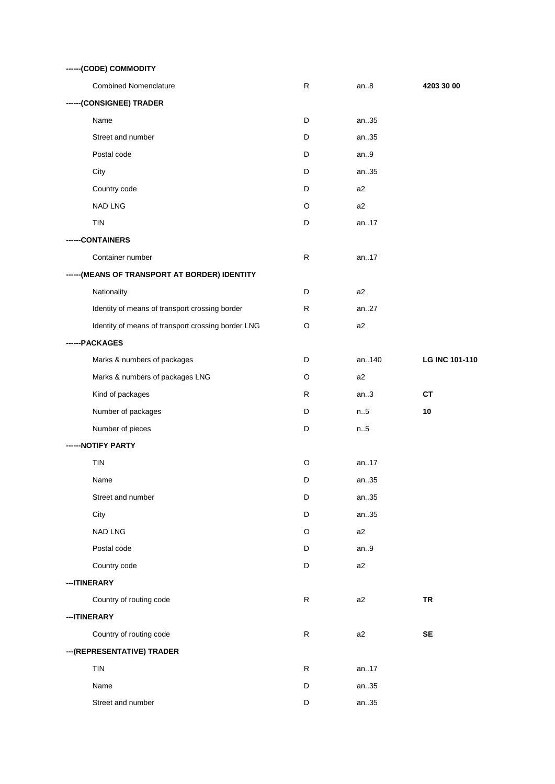| ------(CODE) COMMODITY                             |   |                |                       |  |  |  |
|----------------------------------------------------|---|----------------|-----------------------|--|--|--|
| <b>Combined Nomenclature</b>                       | R | an.8           | 4203 30 00            |  |  |  |
| ------(CONSIGNEE) TRADER                           |   |                |                       |  |  |  |
| Name                                               | D | an35           |                       |  |  |  |
| Street and number                                  | D | an35           |                       |  |  |  |
| Postal code                                        | D | an.9           |                       |  |  |  |
| City                                               | D | an35           |                       |  |  |  |
| Country code                                       | D | a <sub>2</sub> |                       |  |  |  |
| NAD LNG                                            | O | a2             |                       |  |  |  |
| <b>TIN</b>                                         | D | an17           |                       |  |  |  |
| --CONTAINERS                                       |   |                |                       |  |  |  |
| Container number                                   | R | an17           |                       |  |  |  |
| ------ (MEANS OF TRANSPORT AT BORDER) IDENTITY     |   |                |                       |  |  |  |
| Nationality                                        | D | a2             |                       |  |  |  |
| Identity of means of transport crossing border     | R | an27           |                       |  |  |  |
| Identity of means of transport crossing border LNG | O | a2             |                       |  |  |  |
| ------PACKAGES                                     |   |                |                       |  |  |  |
| Marks & numbers of packages                        | D | an140          | <b>LG INC 101-110</b> |  |  |  |
| Marks & numbers of packages LNG                    | O | a2             |                       |  |  |  |
| Kind of packages                                   | R | an.3           | <b>CT</b>             |  |  |  |
| Number of packages                                 | D | n.5            | 10                    |  |  |  |
| Number of pieces                                   | D | n.5            |                       |  |  |  |
| -- NOTIFY PARTY                                    |   |                |                       |  |  |  |
| <b>TIN</b>                                         | O | an17           |                       |  |  |  |
| Name                                               | D | an35           |                       |  |  |  |
| Street and number                                  | D | an35           |                       |  |  |  |
| City                                               | D | an35           |                       |  |  |  |
| NAD LNG                                            | O | a2             |                       |  |  |  |
| Postal code                                        | D | an.9           |                       |  |  |  |
| Country code                                       | D | a2             |                       |  |  |  |
| ---ITINERARY                                       |   |                |                       |  |  |  |
| Country of routing code                            | R | a2             | <b>TR</b>             |  |  |  |
| --- ITINERARY                                      |   |                |                       |  |  |  |
| Country of routing code                            | R | a2             | <b>SE</b>             |  |  |  |
| --- (REPRESENTATIVE) TRADER                        |   |                |                       |  |  |  |
| TIN                                                | R | an17           |                       |  |  |  |
| Name                                               | D | an35           |                       |  |  |  |
| Street and number                                  | D | an35           |                       |  |  |  |